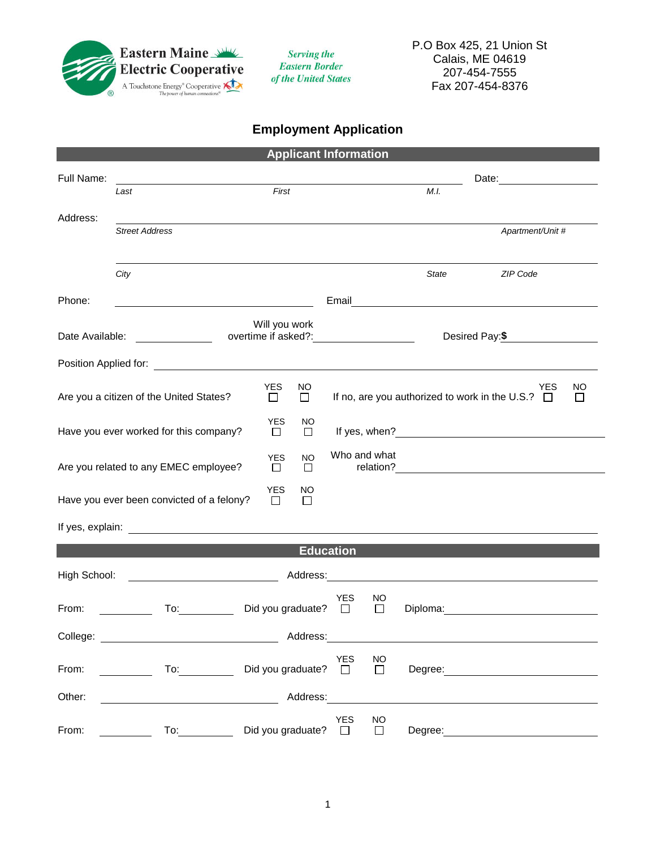

**Serving the Eastern Border** of the United States

## **Employment Application**

|                                                         |                                                                                                                |                                               |                             | <b>Applicant Information</b> |                |         |                                                                                                                       |               |
|---------------------------------------------------------|----------------------------------------------------------------------------------------------------------------|-----------------------------------------------|-----------------------------|------------------------------|----------------|---------|-----------------------------------------------------------------------------------------------------------------------|---------------|
| Full Name:                                              |                                                                                                                |                                               |                             |                              |                |         | Date: __________________                                                                                              |               |
|                                                         | Last                                                                                                           | First                                         |                             |                              |                | M.I.    |                                                                                                                       |               |
| Address:                                                |                                                                                                                |                                               |                             |                              |                |         |                                                                                                                       |               |
|                                                         | <b>Street Address</b>                                                                                          |                                               |                             |                              |                |         | Apartment/Unit #                                                                                                      |               |
|                                                         |                                                                                                                |                                               |                             |                              |                |         |                                                                                                                       |               |
|                                                         | City                                                                                                           |                                               |                             |                              |                | State   | <b>ZIP Code</b>                                                                                                       |               |
| Phone:                                                  |                                                                                                                |                                               |                             | Email                        |                |         | <u> 1989 - Johann Johann Stoff, deutscher Stoffen und der Stoffen und der Stoffen und der Stoffen und der Stoffen</u> |               |
|                                                         |                                                                                                                |                                               |                             |                              |                |         |                                                                                                                       |               |
| Date Available:                                         | $\overline{\phantom{a}}$                                                                                       | overtime if asked?: _________________________ | Will you work               |                              |                |         | Desired Pay: \$                                                                                                       |               |
|                                                         |                                                                                                                |                                               |                             |                              |                |         |                                                                                                                       |               |
|                                                         |                                                                                                                |                                               |                             |                              |                |         |                                                                                                                       |               |
|                                                         | Are you a citizen of the United States?                                                                        | <b>YES</b><br>$\Box$                          | NO.<br>$\Box$               |                              |                |         | YES<br>If no, are you authorized to work in the U.S.? $\Box$                                                          | ΝO<br>$\perp$ |
|                                                         |                                                                                                                | <b>YES</b>                                    | NO                          |                              |                |         |                                                                                                                       |               |
|                                                         | Have you ever worked for this company?                                                                         | $\Box$                                        | $\Box$                      |                              |                |         |                                                                                                                       |               |
|                                                         |                                                                                                                | <b>YES</b>                                    | <b>NO</b>                   | Who and what                 |                |         |                                                                                                                       |               |
|                                                         | Are you related to any EMEC employee?                                                                          | $\Box$                                        | $\Box$                      |                              |                |         |                                                                                                                       |               |
|                                                         | Have you ever been convicted of a felony?                                                                      | <b>YES</b><br>$\Box$                          | NO<br>$\Box$                |                              |                |         |                                                                                                                       |               |
|                                                         |                                                                                                                |                                               |                             |                              |                |         |                                                                                                                       |               |
|                                                         |                                                                                                                |                                               |                             |                              |                |         |                                                                                                                       |               |
|                                                         |                                                                                                                |                                               |                             | <b>Education</b>             |                |         |                                                                                                                       |               |
| High School:                                            | <u> 1990 - Johann Barbara, martin a</u>                                                                        |                                               |                             |                              |                |         |                                                                                                                       |               |
|                                                         |                                                                                                                | Did you graduate?                             |                             | <b>YES</b>                   | NO             |         |                                                                                                                       |               |
| From:                                                   | To: and the state of the state of the state of the state of the state of the state of the state of the state o |                                               |                             | $\Box$                       | $\Box$         |         | Diploma: <u>____________________</u>                                                                                  |               |
| Address:<br>College: <u>___________________________</u> |                                                                                                                |                                               |                             |                              |                |         |                                                                                                                       |               |
|                                                         |                                                                                                                |                                               |                             | <b>YES</b>                   | <b>NO</b>      |         |                                                                                                                       |               |
| From:                                                   | $\frac{1}{\sqrt{10}}$                                                                                          |                                               | Did you graduate? $\square$ |                              | $\Box$         |         |                                                                                                                       |               |
| Other:                                                  | <u> 1990 - Johann John Stone, mars et al.</u>                                                                  |                                               | Address:                    |                              |                |         |                                                                                                                       |               |
| From:                                                   | To:                                                                                                            | Did you graduate? □                           |                             | YES                          | <b>NO</b><br>П | Degree: |                                                                                                                       |               |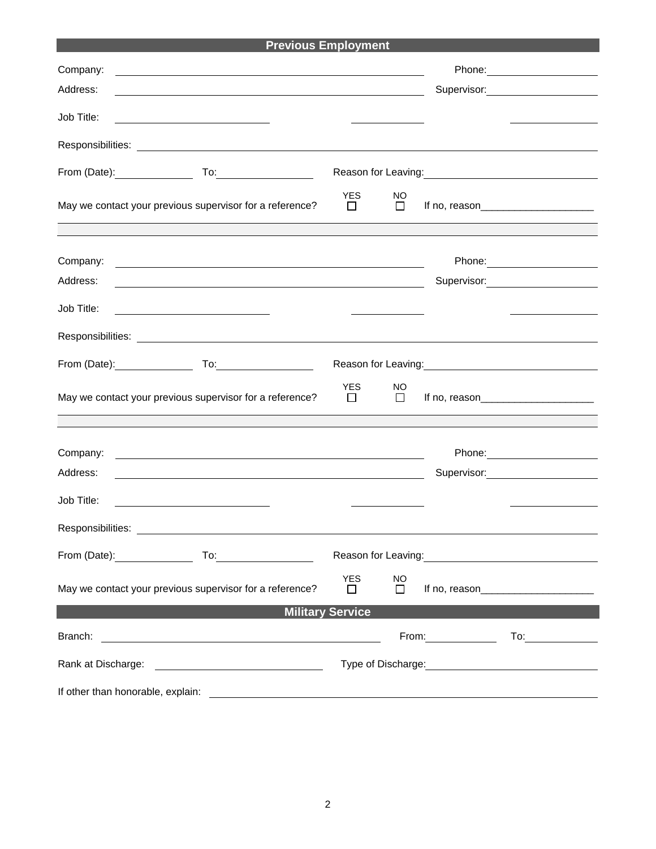| <b>Previous Employment</b>                               |                                                                                                                        |                       |                |  |                                                                                                                                                                                                                                        |
|----------------------------------------------------------|------------------------------------------------------------------------------------------------------------------------|-----------------------|----------------|--|----------------------------------------------------------------------------------------------------------------------------------------------------------------------------------------------------------------------------------------|
| Company:                                                 | <u> 1989 - Johann Stoff, Amerikaansk politiker († 1908)</u>                                                            |                       |                |  |                                                                                                                                                                                                                                        |
| Address:                                                 |                                                                                                                        |                       |                |  | Supervisor:<br><u> Communication</u>                                                                                                                                                                                                   |
| Job Title:                                               | <u> 1989 - Johann Stein, mars an t-Amerikaansk kommunister (</u>                                                       |                       |                |  |                                                                                                                                                                                                                                        |
|                                                          |                                                                                                                        |                       |                |  |                                                                                                                                                                                                                                        |
| From (Date): <u>contained</u>                            |                                                                                                                        |                       |                |  | Reason for Leaving:<br><u>Next and the manual contract of the set of the set of the set of the set of the set of the set of the set of the set of the set of the set of the set of the set of the set of the set of the set of the</u> |
| May we contact your previous supervisor for a reference? |                                                                                                                        | <b>YES</b><br>$\perp$ | NO<br>П        |  |                                                                                                                                                                                                                                        |
|                                                          |                                                                                                                        |                       |                |  |                                                                                                                                                                                                                                        |
| Company:<br>Address:                                     | <u> 1989 - Andrea State Barbara, amerikan personal di sebagai personal di sebagai personal di sebagai personal d</u>   |                       |                |  |                                                                                                                                                                                                                                        |
|                                                          | <u> 1989 - Johann Stoff, amerikansk politiker (d. 1989)</u>                                                            |                       |                |  |                                                                                                                                                                                                                                        |
| Job Title:                                               | <u> 1989 - Johann Barbara, martxa alemaniar a</u>                                                                      |                       |                |  |                                                                                                                                                                                                                                        |
|                                                          |                                                                                                                        |                       |                |  |                                                                                                                                                                                                                                        |
| From (Date): _______________                             |                                                                                                                        |                       |                |  | Reason for Leaving:<br><u> Reason</u> for Leaving:                                                                                                                                                                                     |
| May we contact your previous supervisor for a reference? |                                                                                                                        | <b>YES</b><br>$\Box$  | NO<br>$\Box$   |  |                                                                                                                                                                                                                                        |
|                                                          |                                                                                                                        |                       |                |  |                                                                                                                                                                                                                                        |
| Company:<br>Address:                                     | <u> 1989 - Johann Stoff, deutscher Stoffen und der Stoffen und der Stoffen und der Stoffen und der Stoffen und der</u> |                       |                |  | Supervisor: 2000                                                                                                                                                                                                                       |
| Job Title:                                               |                                                                                                                        |                       |                |  |                                                                                                                                                                                                                                        |
|                                                          |                                                                                                                        |                       |                |  |                                                                                                                                                                                                                                        |
|                                                          |                                                                                                                        |                       |                |  | Reason for Leaving: 1997                                                                                                                                                                                                               |
| May we contact your previous supervisor for a reference? |                                                                                                                        | <b>YES</b><br>$\perp$ | NO.<br>$\perp$ |  | If no, reason $\qquad \qquad$                                                                                                                                                                                                          |
| <b>Military Service</b>                                  |                                                                                                                        |                       |                |  |                                                                                                                                                                                                                                        |
| Branch:                                                  | <u> 1980 - John Stone, amerikansk politiker (</u>                                                                      |                       |                |  | From: To: To:                                                                                                                                                                                                                          |
| Rank at Discharge:                                       |                                                                                                                        |                       |                |  |                                                                                                                                                                                                                                        |
| If other than honorable, explain:                        |                                                                                                                        |                       |                |  |                                                                                                                                                                                                                                        |